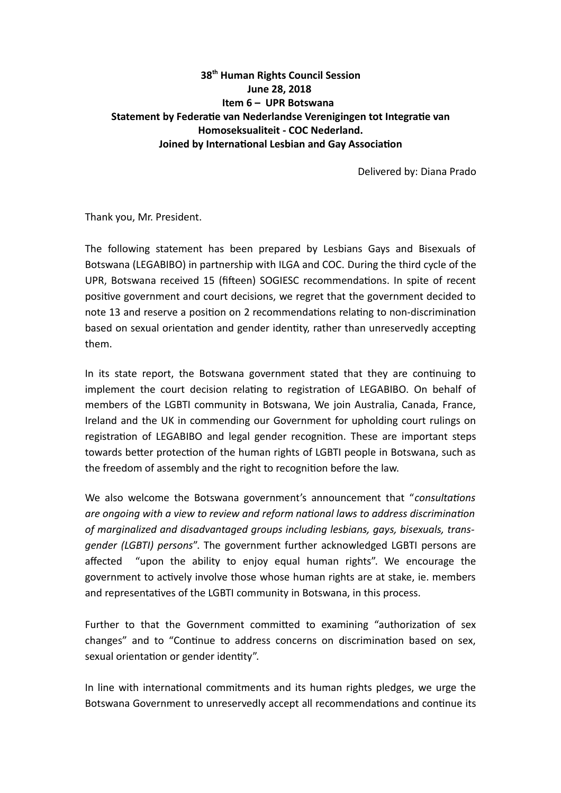## **38th Human Rights Council Session June 28, 2018 Item 6 – UPR Botswana Statement by Federatie van Nederlandse Verenigingen tot Integratie van Homoseksualiteit - COC Nederland. Joined by International Lesbian and Gay Association**

Delivered by: Diana Prado

Thank you, Mr. President.

The following statement has been prepared by Lesbians Gays and Bisexuals of Botswana (LEGABIBO) in partnership with ILGA and COC. During the third cycle of the UPR, Botswana received 15 (fifteen) SOGIESC recommendations. In spite of recent positive government and court decisions, we regret that the government decided to note 13 and reserve a position on 2 recommendations relating to non-discrimination based on sexual orientation and gender identity, rather than unreservedly accepting them.

In its state report, the Botswana government stated that they are continuing to implement the court decision relating to registration of LEGABIBO. On behalf of members of the LGBTI community in Botswana, We join Australia, Canada, France, Ireland and the UK in commending our Government for upholding court rulings on registration of LEGABIBO and legal gender recognition. These are important steps towards better protection of the human rights of LGBTI people in Botswana, such as the freedom of assembly and the right to recognition before the law.

We also welcome the Botswana government's announcement that "*consultations are ongoing with a view to review and reform national laws to address discrimination of marginalized and disadvantaged groups including lesbians, gays, bisexuals, transgender (LGBTI) persons*". The government further acknowledged LGBTI persons are affected "upon the ability to enjoy equal human rights". We encourage the government to actively involve those whose human rights are at stake, ie. members and representatives of the LGBTI community in Botswana, in this process.

Further to that the Government committed to examining "authorization of sex changes" and to "Continue to address concerns on discrimination based on sex, sexual orientation or gender identity".

In line with international commitments and its human rights pledges, we urge the Botswana Government to unreservedly accept all recommendations and continue its